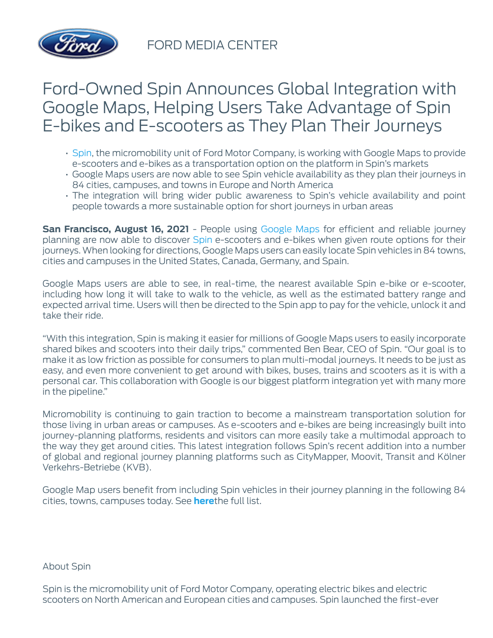

FORD MEDIA CENTER

## Ford-Owned Spin Announces Global Integration with Google Maps, Helping Users Take Advantage of Spin E-bikes and E-scooters as They Plan Their Journeys

- [Spin,](https://www.spin.app/) the micromobility unit of Ford Motor Company, is working with Google Maps to provide e-scooters and e-bikes as a transportation option on the platform in Spin's markets
- Google Maps users are now able to see Spin vehicle availability as they plan their journeys in 84 cities, campuses, and towns in Europe and North America
- The integration will bring wider public awareness to Spin's vehicle availability and point people towards a more sustainable option for short journeys in urban areas

**San Francisco, August 16, 2021** - People using [Google Maps](https://www.google.com/maps) for efficient and reliable journey planning are now able to discover [Spin](https://www.spin.app/) e-scooters and e-bikes when given route options for their journeys. When looking for directions, Google Maps users can easily locate Spin vehicles in 84 towns, cities and campuses in the United States, Canada, Germany, and Spain.

Google Maps users are able to see, in real-time, the nearest available Spin e-bike or e-scooter, including how long it will take to walk to the vehicle, as well as the estimated battery range and expected arrival time. Users will then be directed to the Spin app to pay for the vehicle, unlock it and take their ride.

"With this integration, Spin is making it easier for millions of Google Maps users to easily incorporate shared bikes and scooters into their daily trips," commented Ben Bear, CEO of Spin. "Our goal is to make it as low friction as possible for consumers to plan multi-modal journeys. It needs to be just as easy, and even more convenient to get around with bikes, buses, trains and scooters as it is with a personal car. This collaboration with Google is our biggest platform integration yet with many more in the pipeline."

Micromobility is continuing to gain traction to become a mainstream transportation solution for those living in urban areas or campuses. As e-scooters and e-bikes are being increasingly built into journey-planning platforms, residents and visitors can more easily take a multimodal approach to the way they get around cities. This latest integration follows Spin's recent addition into a number of global and regional journey planning platforms such as CityMapper, Moovit, Transit and Kölner Verkehrs-Betriebe (KVB).

Google Map users benefit from including Spin vehicles in their journey planning in the following 84 cities, towns, campuses today. See **[here](https://drive.google.com/file/d/1EiLPGa0TwRCJ1kZJPoLf6w7iuoSNTUGU/view?usp=sharing)**the full list.

About Spin

Spin is the micromobility unit of Ford Motor Company, operating electric bikes and electric scooters on North American and European cities and campuses. Spin launched the first-ever